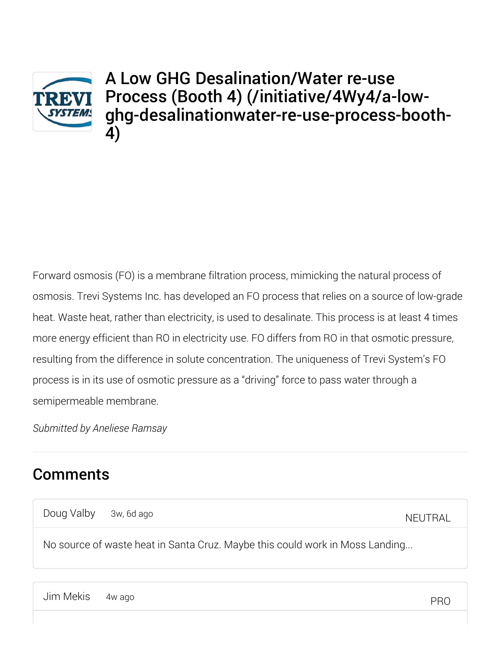

A Low GHG Desalination/Water re-use Process (Booth 4) (/initiative/4Wy4/a-lowghg-desalinationwater-re-use-process-booth-4)

Forward osmosis (FO) is a membrane filtration process, mimicking the natural process of osmosis. Trevi Systems Inc. has developed an FO process that relies on a source of low-grade heat. Waste heat, rather than electricity, is used to desalinate. This process is at least 4 times more energy efficient than RO in electricity use. FO differs from RO in that osmotic pressure, resulting from the difference in solute concentration. The uniqueness of Trevi System's FO process is in its use of osmotic pressure as a "driving" force to pass water through a semipermeable membrane.

*Submitted by Aneliese Ramsay*

## **Comments**

Doug Valby 3w, 6d ago

NEUTRAL

No source of waste heat in Santa Cruz. Maybe this could work in Moss Landing...

Jim Mekis 4w ago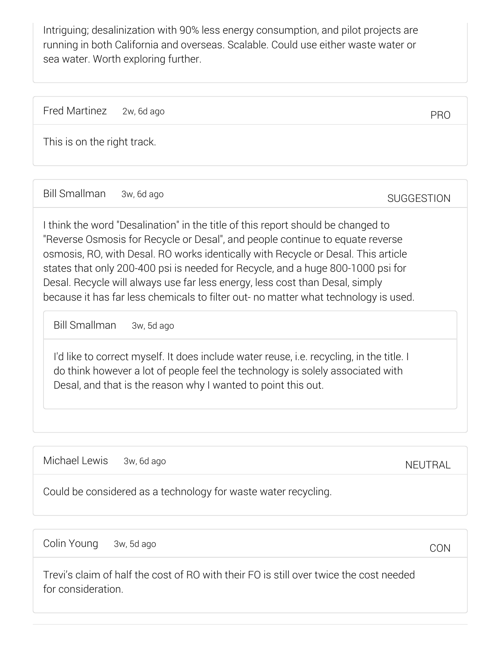Intriguing; desalinization with 90% less energy consumption, and pilot projects are running in both California and overseas. Scalable. Could use either waste water or sea water. Worth exploring further.

Fred Martinez 2w, 6d ago

This is on the right track.

Bill Smallman 3w, 6d ago

**SUGGESTION** 

PRO

I think the word "Desalination" in the title of this report should be changed to "Reverse Osmosis for Recycle or Desal", and people continue to equate reverse osmosis, RO, with Desal. RO works identically with Recycle or Desal. This article states that only 200-400 psi is needed for Recycle, and a huge 800-1000 psi for Desal. Recycle will always use far less energy, less cost than Desal, simply because it has far less chemicals to filter out- no matter what technology is used.

Bill Smallman 3w, 5d ago

I'd like to correct myself. It does include water reuse, i.e. recycling, in the title. I do think however a lot of people feel the technology is solely associated with Desal, and that is the reason why I wanted to point this out.

Michael Lewis 3w, 6d ago

NEUTRAL

Could be considered as a technology for waste water recycling.

Colin Young 3w, 5d ago

**CON** 

Trevi's claim of half the cost of RO with their FO is still over twice the cost needed for consideration.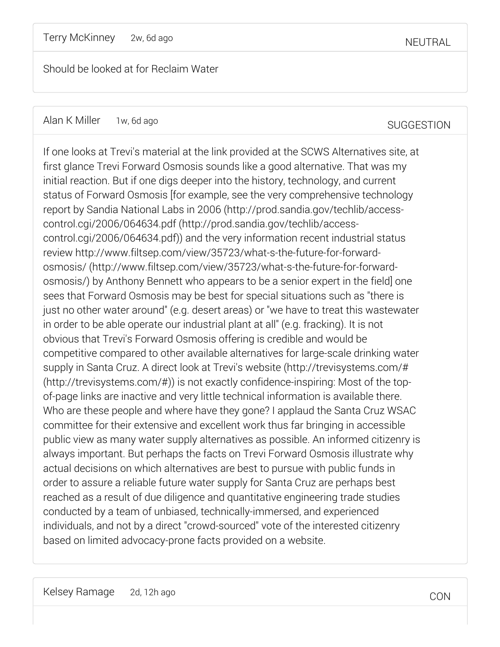Should be looked at for Reclaim Water

Kelsey Ramage 2d, 12h ago

CON

If one looks at Trevi's material at the link provided at the SCWS Alternatives site, at first glance Trevi Forward Osmosis sounds like a good alternative. That was my initial reaction. But if one digs deeper into the history, technology, and current status of Forward Osmosis [for example, see the very comprehensive technology report by Sandia National Labs in 2006 (http://prod.sandia.gov/techlib/accesscontrol.cgi/2006/064634.pdf (http://prod.sandia.gov/techlib/accesscontrol.cgi/2006/064634.pdf)) and the very information recent industrial status review http://www.filtsep.com/view/35723/what-s-the-future-for-forwardosmosis/ (http://www.filtsep.com/view/35723/what-s-the-future-for-forwardosmosis/) by Anthony Bennett who appears to be a senior expert in the field] one sees that Forward Osmosis may be best for special situations such as "there is just no other water around" (e.g. desert areas) or "we have to treat this wastewater in order to be able operate our industrial plant at all" (e.g. fracking). It is not obvious that Trevi's Forward Osmosis offering is credible and would be competitive compared to other available alternatives for large-scale drinking water supply in Santa Cruz. A direct look at Trevi's website (http://trevisystems.com/# (http://trevisystems.com/#)) is not exactly confidence-inspiring: Most of the topof-page links are inactive and very little technical information is available there. Who are these people and where have they gone? I applaud the Santa Cruz WSAC committee for their extensive and excellent work thus far bringing in accessible public view as many water supply alternatives as possible. An informed citizenry is always important. But perhaps the facts on Trevi Forward Osmosis illustrate why actual decisions on which alternatives are best to pursue with public funds in order to assure a reliable future water supply for Santa Cruz are perhaps best reached as a result of due diligence and quantitative engineering trade studies conducted by a team of unbiased, technically-immersed, and experienced individuals, and not by a direct "crowd-sourced" vote of the interested citizenry based on limited advocacy-prone facts provided on a website.

SUGGESTION